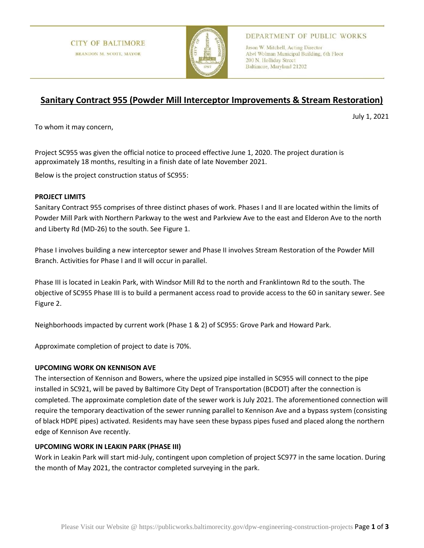

## DEPARTMENT OF PUBLIC WORKS

Jason W. Mitchell, Acting Director Abel Wolman Municipal Building, 6th Floor 200 N. Holliday Street Baltimore, Maryland 21202

# **Sanitary Contract 955 (Powder Mill Interceptor Improvements & Stream Restoration)**

July 1, 2021

To whom it may concern,

Project SC955 was given the official notice to proceed effective June 1, 2020. The project duration is approximately 18 months, resulting in a finish date of late November 2021.

Below is the project construction status of SC955:

## **PROJECT LIMITS**

Sanitary Contract 955 comprises of three distinct phases of work. Phases I and II are located within the limits of Powder Mill Park with Northern Parkway to the west and Parkview Ave to the east and Elderon Ave to the north and Liberty Rd (MD-26) to the south. See Figure 1.

Phase I involves building a new interceptor sewer and Phase II involves Stream Restoration of the Powder Mill Branch. Activities for Phase I and II will occur in parallel.

Phase III is located in Leakin Park, with Windsor Mill Rd to the north and Franklintown Rd to the south. The objective of SC955 Phase III is to build a permanent access road to provide access to the 60 in sanitary sewer. See Figure 2.

Neighborhoods impacted by current work (Phase 1 & 2) of SC955: Grove Park and Howard Park.

Approximate completion of project to date is 70%.

## **UPCOMING WORK ON KENNISON AVE**

The intersection of Kennison and Bowers, where the upsized pipe installed in SC955 will connect to the pipe installed in SC921, will be paved by Baltimore City Dept of Transportation (BCDOT) after the connection is completed. The approximate completion date of the sewer work is July 2021. The aforementioned connection will require the temporary deactivation of the sewer running parallel to Kennison Ave and a bypass system (consisting of black HDPE pipes) activated. Residents may have seen these bypass pipes fused and placed along the northern edge of Kennison Ave recently.

## **UPCOMING WORK IN LEAKIN PARK (PHASE III)**

Work in Leakin Park will start mid-July, contingent upon completion of project SC977 in the same location. During the month of May 2021, the contractor completed surveying in the park.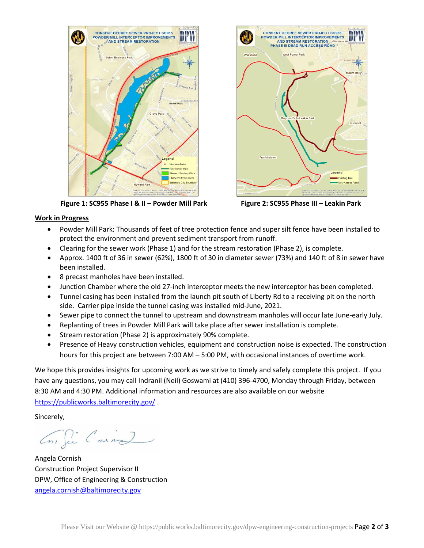

 **Figure 1: SC955 Phase I & II – Powder Mill Park Figure 2: SC955 Phase III – Leakin Park**



#### **Work in Progress**

- Powder Mill Park: Thousands of feet of tree protection fence and super silt fence have been installed to protect the environment and prevent sediment transport from runoff.
- Clearing for the sewer work (Phase 1) and for the stream restoration (Phase 2), is complete.
- Approx. 1400 ft of 36 in sewer (62%), 1800 ft of 30 in diameter sewer (73%) and 140 ft of 8 in sewer have been installed.
- 8 precast manholes have been installed.
- Junction Chamber where the old 27-inch interceptor meets the new interceptor has been completed.
- Tunnel casing has been installed from the launch pit south of Liberty Rd to a receiving pit on the north side. Carrier pipe inside the tunnel casing was installed mid-June, 2021.
- Sewer pipe to connect the tunnel to upstream and downstream manholes will occur late June-early July.
- Replanting of trees in Powder Mill Park will take place after sewer installation is complete.
- Stream restoration (Phase 2) is approximately 90% complete.
- Presence of Heavy construction vehicles, equipment and construction noise is expected. The construction hours for this project are between 7:00 AM – 5:00 PM, with occasional instances of overtime work.

We hope this provides insights for upcoming work as we strive to timely and safely complete this project. If you have any questions, you may call Indranil (Neil) Goswami at (410) 396-4700, Monday through Friday, between 8:30 AM and 4:30 PM. Additional information and resources are also available on our website <https://publicworks.baltimorecity.gov/> .

Sincerely,

Con fie Carne

Angela Cornish Construction Project Supervisor II DPW, Office of Engineering & Construction [angela.cornish@baltimorecity.gov](mailto:angela.cornish@baltimorecity.gov)